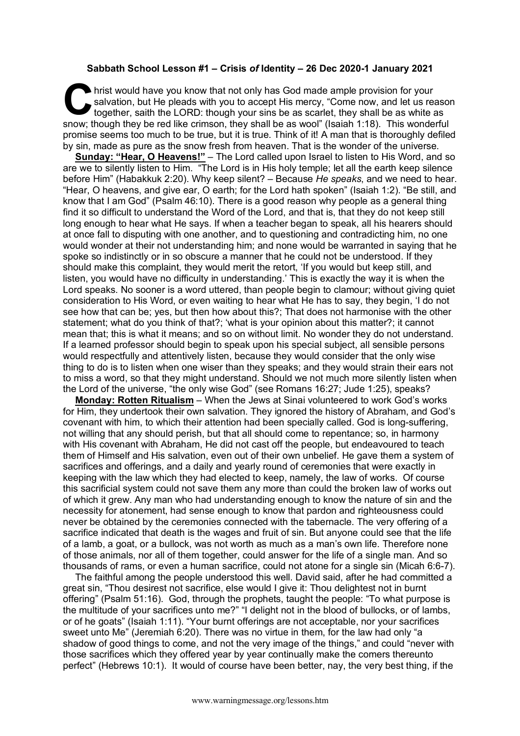## **Sabbath School Lesson #1 – Crisis** *of* **Identity – 26 Dec 2020-1 January 2021**

hrist would have you know that not only has God made ample provision for your salvation, but He pleads with you to accept His mercy, "Come now, and let us reasont together, saith the LORD: though your sins be as scarlet, t salvation, but He pleads with you to accept His mercy, "Come now, and let us reason together, saith the LORD: though your sins be as scarlet, they shall be as white as snow; though they be red like crimson, they shall be as wool" (Isaiah 1:18). This wonderful promise seems too much to be true, but it is true. Think of it! A man that is thoroughly defiled by sin, made as pure as the snow fresh from heaven. That is the wonder of the universe.

**Sunday: "Hear, O Heavens!"** – The Lord called upon Israel to listen to His Word, and so are we to silently listen to Him. "The Lord is in His holy temple; let all the earth keep silence before Him" (Habakkuk 2:20). Why keep silent? – Because *He speaks*, and we need to hear. "Hear, O heavens, and give ear, O earth; for the Lord hath spoken" (Isaiah 1:2). "Be still, and know that I am God" (Psalm 46:10). There is a good reason why people as a general thing find it so difficult to understand the Word of the Lord, and that is, that they do not keep still long enough to hear what He says. If when a teacher began to speak, all his hearers should at once fall to disputing with one another, and to questioning and contradicting him, no one would wonder at their not understanding him; and none would be warranted in saying that he spoke so indistinctly or in so obscure a manner that he could not be understood. If they should make this complaint, they would merit the retort, 'If you would but keep still, and listen, you would have no difficulty in understanding.' This is exactly the way it is when the Lord speaks. No sooner is a word uttered, than people begin to clamour; without giving quiet consideration to His Word, or even waiting to hear what He has to say, they begin, 'I do not see how that can be; yes, but then how about this?; That does not harmonise with the other statement; what do you think of that?; 'what is your opinion about this matter?; it cannot mean that; this is what it means; and so on without limit. No wonder they do not understand. If a learned professor should begin to speak upon his special subject, all sensible persons would respectfully and attentively listen, because they would consider that the only wise thing to do is to listen when one wiser than they speaks; and they would strain their ears not to miss a word, so that they might understand. Should we not much more silently listen when the Lord of the universe, "the only wise God" (see Romans 16:27; Jude 1:25), speaks?

**Monday: Rotten Ritualism** – When the Jews at Sinai volunteered to work God's works for Him, they undertook their own salvation. They ignored the history of Abraham, and God's covenant with him, to which their attention had been specially called. God is long-suffering, not willing that any should perish, but that all should come to repentance; so, in harmony with His covenant with Abraham, He did not cast off the people, but endeavoured to teach them of Himself and His salvation, even out of their own unbelief. He gave them a system of sacrifices and offerings, and a daily and yearly round of ceremonies that were exactly in keeping with the law which they had elected to keep, namely, the law of works. Of course this sacrificial system could not save them any more than could the broken law of works out of which it grew. Any man who had understanding enough to know the nature of sin and the necessity for atonement, had sense enough to know that pardon and righteousness could never be obtained by the ceremonies connected with the tabernacle. The very offering of a sacrifice indicated that death is the wages and fruit of sin. But anyone could see that the life of a lamb, a goat, or a bullock, was not worth as much as a man's own life. Therefore none of those animals, nor all of them together, could answer for the life of a single man. And so thousands of rams, or even a human sacrifice, could not atone for a single sin (Micah 6:6-7).

The faithful among the people understood this well. David said, after he had committed a great sin, "Thou desirest not sacrifice, else would I give it: Thou delightest not in burnt offering" (Psalm 51:16). God, through the prophets, taught the people: "To what purpose is the multitude of your sacrifices unto me?" "I delight not in the blood of bullocks, or of lambs, or of he goats" (Isaiah 1:11). "Your burnt offerings are not acceptable, nor your sacrifices sweet unto Me" (Jeremiah 6:20). There was no virtue in them, for the law had only "a shadow of good things to come, and not the very image of the things," and could "never with those sacrifices which they offered year by year continually make the comers thereunto perfect" (Hebrews 10:1). It would of course have been better, nay, the very best thing, if the